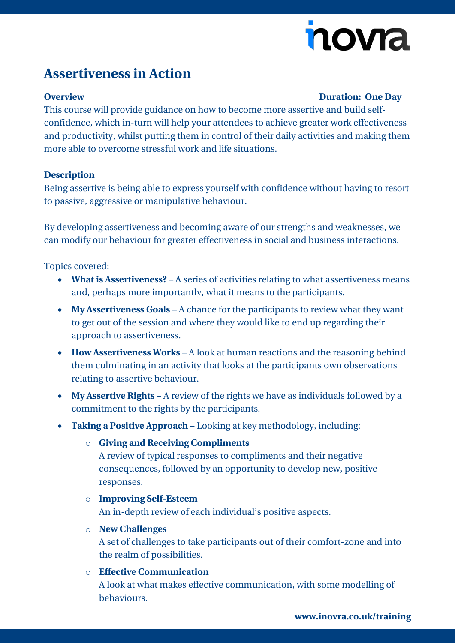# novia

## **Assertiveness in Action**

#### **Overview Duration: One Day**

This course will provide guidance on how to become more assertive and build selfconfidence, which in-turn will help your attendees to achieve greater work effectiveness and productivity, whilst putting them in control of their daily activities and making them more able to overcome stressful work and life situations.

#### **Description**

Being assertive is being able to express yourself with confidence without having to resort to passive, aggressive or manipulative behaviour.

By developing assertiveness and becoming aware of our strengths and weaknesses, we can modify our behaviour for greater effectiveness in social and business interactions.

Topics covered:

- **What is Assertiveness?** A series of activities relating to what assertiveness means and, perhaps more importantly, what it means to the participants.
- **My Assertiveness Goals** A chance for the participants to review what they want to get out of the session and where they would like to end up regarding their approach to assertiveness.
- **How Assertiveness Works** A look at human reactions and the reasoning behind them culminating in an activity that looks at the participants own observations relating to assertive behaviour.
- **My Assertive Rights** A review of the rights we have as individuals followed by a commitment to the rights by the participants.
- **Taking a Positive Approach** Looking at key methodology, including:
	- o **Giving and Receiving Compliments**

A review of typical responses to compliments and their negative consequences, followed by an opportunity to develop new, positive responses.

### o **Improving Self-Esteem** An in-depth review of each individual's positive aspects.

o **New Challenges**

A set of challenges to take participants out of their comfort-zone and into the realm of possibilities.

### o **Effective Communication** A look at what makes effective communication, with some modelling of behaviours.